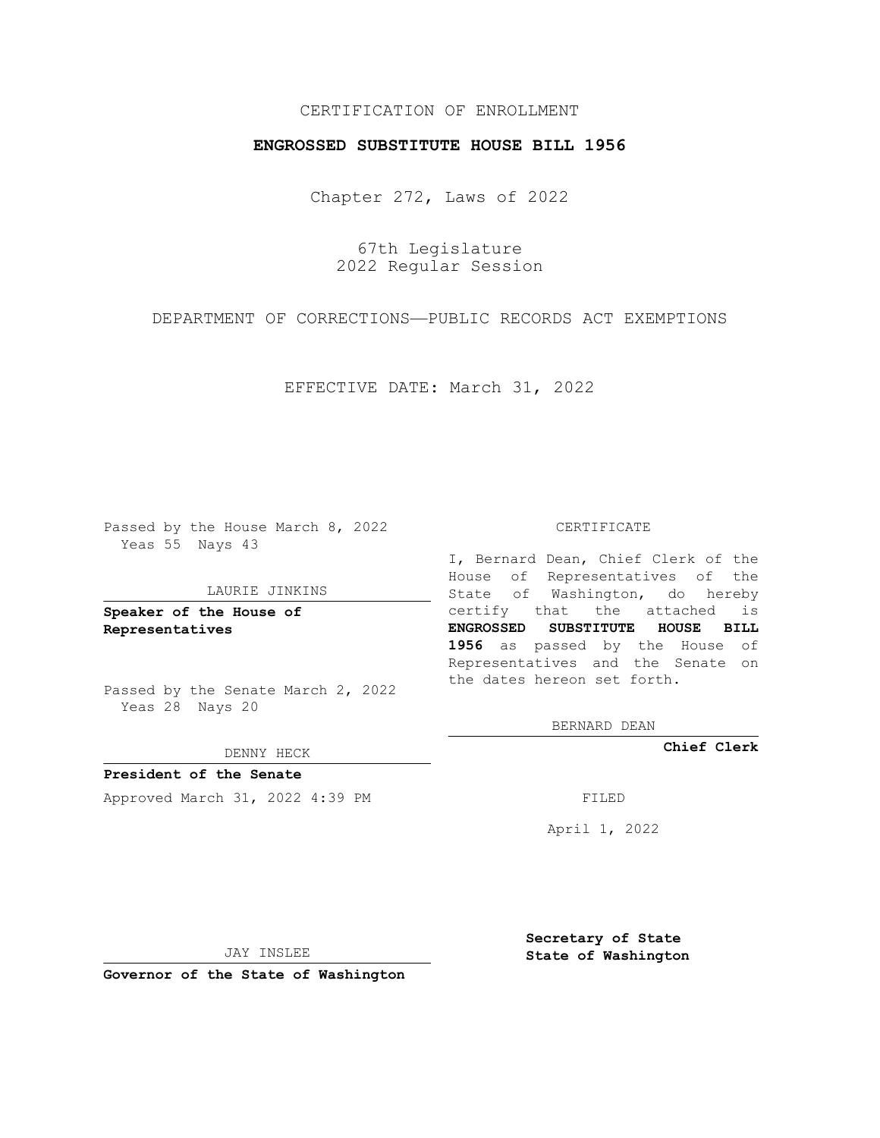## CERTIFICATION OF ENROLLMENT

## **ENGROSSED SUBSTITUTE HOUSE BILL 1956**

Chapter 272, Laws of 2022

67th Legislature 2022 Regular Session

DEPARTMENT OF CORRECTIONS—PUBLIC RECORDS ACT EXEMPTIONS

EFFECTIVE DATE: March 31, 2022

Passed by the House March 8, 2022 Yeas 55 Nays 43

#### LAURIE JINKINS

**Speaker of the House of Representatives**

Passed by the Senate March 2, 2022 Yeas 28 Nays 20

DENNY HECK

**President of the Senate** Approved March 31, 2022 4:39 PM FILED

CERTIFICATE

I, Bernard Dean, Chief Clerk of the House of Representatives of the State of Washington, do hereby certify that the attached is **ENGROSSED SUBSTITUTE HOUSE BILL 1956** as passed by the House of Representatives and the Senate on the dates hereon set forth.

BERNARD DEAN

**Chief Clerk**

April 1, 2022

JAY INSLEE

**Governor of the State of Washington**

**Secretary of State State of Washington**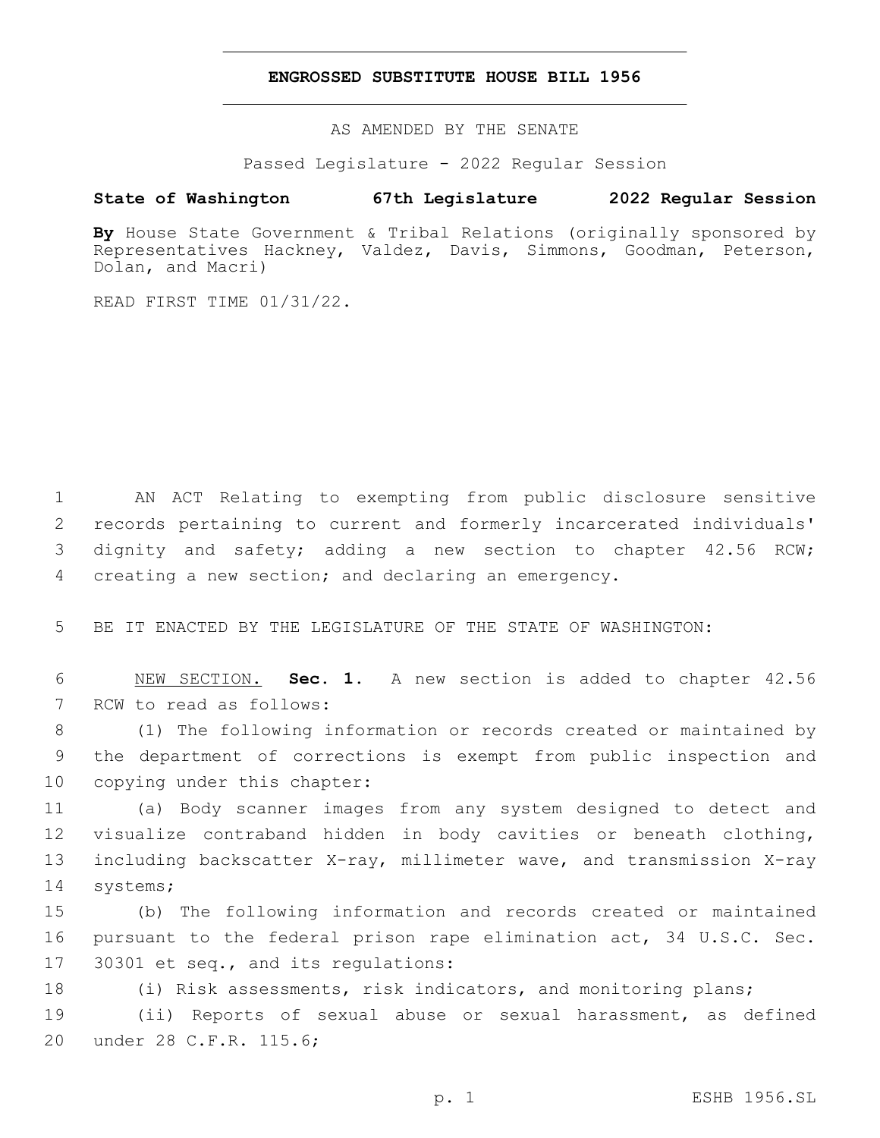### **ENGROSSED SUBSTITUTE HOUSE BILL 1956**

AS AMENDED BY THE SENATE

Passed Legislature - 2022 Regular Session

# **State of Washington 67th Legislature 2022 Regular Session**

By House State Government & Tribal Relations (originally sponsored by Representatives Hackney, Valdez, Davis, Simmons, Goodman, Peterson, Dolan, and Macri)

READ FIRST TIME 01/31/22.

 AN ACT Relating to exempting from public disclosure sensitive records pertaining to current and formerly incarcerated individuals' dignity and safety; adding a new section to chapter 42.56 RCW; creating a new section; and declaring an emergency.

5 BE IT ENACTED BY THE LEGISLATURE OF THE STATE OF WASHINGTON:

6 NEW SECTION. **Sec. 1.** A new section is added to chapter 42.56 7 RCW to read as follows:

8 (1) The following information or records created or maintained by 9 the department of corrections is exempt from public inspection and 10 copying under this chapter:

 (a) Body scanner images from any system designed to detect and visualize contraband hidden in body cavities or beneath clothing, including backscatter X-ray, millimeter wave, and transmission X-ray 14 systems;

15 (b) The following information and records created or maintained 16 pursuant to the federal prison rape elimination act, 34 U.S.C. Sec. 17 30301 et seq., and its regulations:

18 (i) Risk assessments, risk indicators, and monitoring plans;

19 (ii) Reports of sexual abuse or sexual harassment, as defined 20 under 28 C.F.R. 115.6;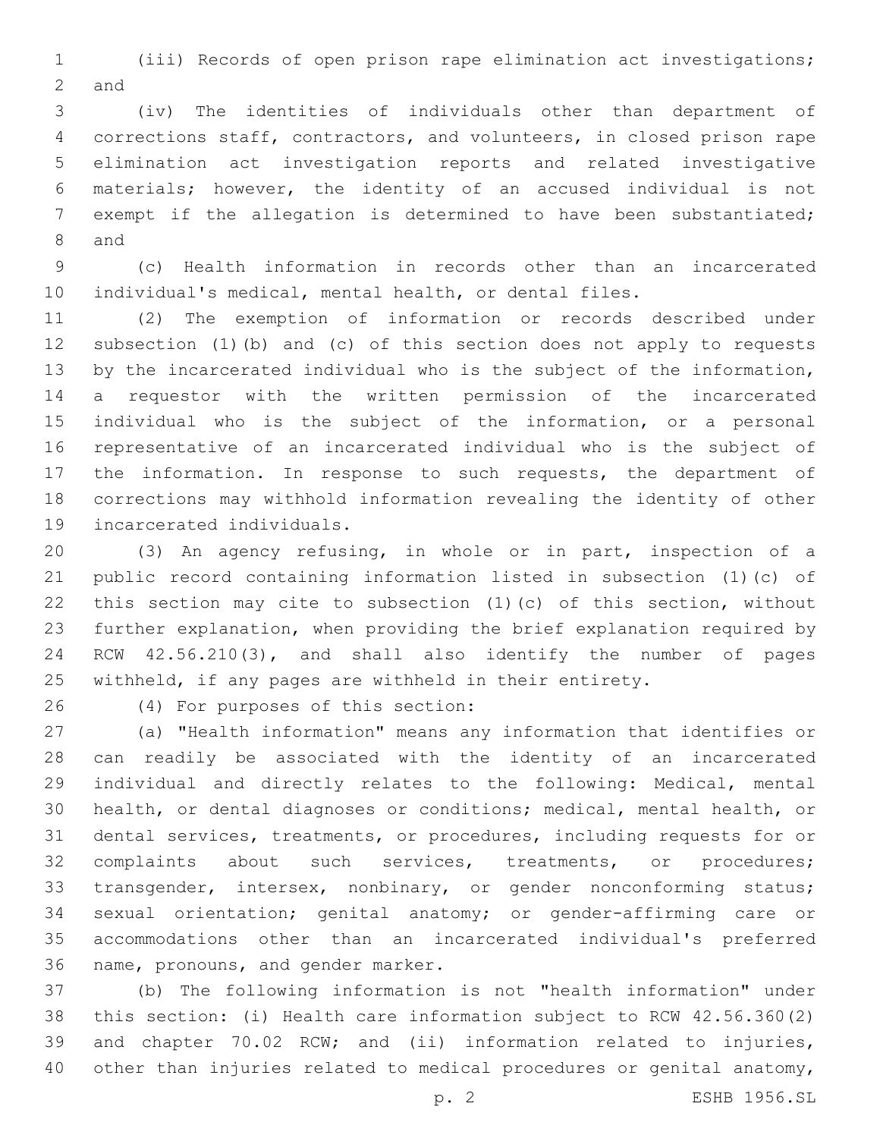(iii) Records of open prison rape elimination act investigations; 2 and

 (iv) The identities of individuals other than department of corrections staff, contractors, and volunteers, in closed prison rape elimination act investigation reports and related investigative materials; however, the identity of an accused individual is not exempt if the allegation is determined to have been substantiated; 8 and

 (c) Health information in records other than an incarcerated individual's medical, mental health, or dental files.

 (2) The exemption of information or records described under subsection (1)(b) and (c) of this section does not apply to requests by the incarcerated individual who is the subject of the information, a requestor with the written permission of the incarcerated individual who is the subject of the information, or a personal representative of an incarcerated individual who is the subject of the information. In response to such requests, the department of corrections may withhold information revealing the identity of other 19 incarcerated individuals.

 (3) An agency refusing, in whole or in part, inspection of a public record containing information listed in subsection (1)(c) of this section may cite to subsection (1)(c) of this section, without further explanation, when providing the brief explanation required by RCW 42.56.210(3), and shall also identify the number of pages withheld, if any pages are withheld in their entirety.

(4) For purposes of this section:26

 (a) "Health information" means any information that identifies or can readily be associated with the identity of an incarcerated individual and directly relates to the following: Medical, mental health, or dental diagnoses or conditions; medical, mental health, or dental services, treatments, or procedures, including requests for or complaints about such services, treatments, or procedures; 33 transgender, intersex, nonbinary, or gender nonconforming status; sexual orientation; genital anatomy; or gender-affirming care or accommodations other than an incarcerated individual's preferred 36 name, pronouns, and gender marker.

 (b) The following information is not "health information" under this section: (i) Health care information subject to RCW 42.56.360(2) and chapter 70.02 RCW; and (ii) information related to injuries, 40 other than injuries related to medical procedures or genital anatomy,

p. 2 ESHB 1956.SL